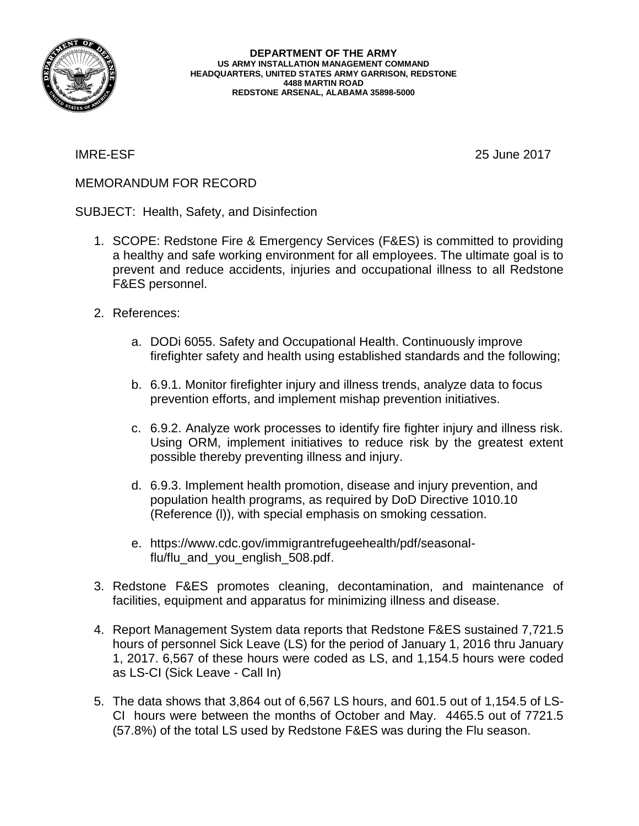

**DEPARTMENT OF THE ARMY US ARMY INSTALLATION MANAGEMENT COMMAND HEADQUARTERS, UNITED STATES ARMY GARRISON, REDSTONE 4488 MARTIN ROAD REDSTONE ARSENAL, ALABAMA 35898-5000**

IMRE-ESF 25 June 2017

MEMORANDUM FOR RECORD

SUBJECT: Health, Safety, and Disinfection

- 1. SCOPE: Redstone Fire & Emergency Services (F&ES) is committed to providing a healthy and safe working environment for all employees. The ultimate goal is to prevent and reduce accidents, injuries and occupational illness to all Redstone F&ES personnel.
- 2. References:
	- a. DODi 6055. Safety and Occupational Health. Continuously improve firefighter safety and health using established standards and the following;
	- b. 6.9.1. Monitor firefighter injury and illness trends, analyze data to focus prevention efforts, and implement mishap prevention initiatives.
	- c. 6.9.2. Analyze work processes to identify fire fighter injury and illness risk. Using ORM, implement initiatives to reduce risk by the greatest extent possible thereby preventing illness and injury.
	- d. 6.9.3. Implement health promotion, disease and injury prevention, and population health programs, as required by DoD Directive 1010.10 (Reference (l)), with special emphasis on smoking cessation.
	- e. https://www.cdc.gov/immigrantrefugeehealth/pdf/seasonalflu/flu\_and\_you\_english\_508.pdf.
- 3. Redstone F&ES promotes cleaning, decontamination, and maintenance of facilities, equipment and apparatus for minimizing illness and disease.
- 4. Report Management System data reports that Redstone F&ES sustained 7,721.5 hours of personnel Sick Leave (LS) for the period of January 1, 2016 thru January 1, 2017. 6,567 of these hours were coded as LS, and 1,154.5 hours were coded as LS-CI (Sick Leave - Call In)
- 5. The data shows that 3,864 out of 6,567 LS hours, and 601.5 out of 1,154.5 of LS-CI hours were between the months of October and May. 4465.5 out of 7721.5 (57.8%) of the total LS used by Redstone F&ES was during the Flu season.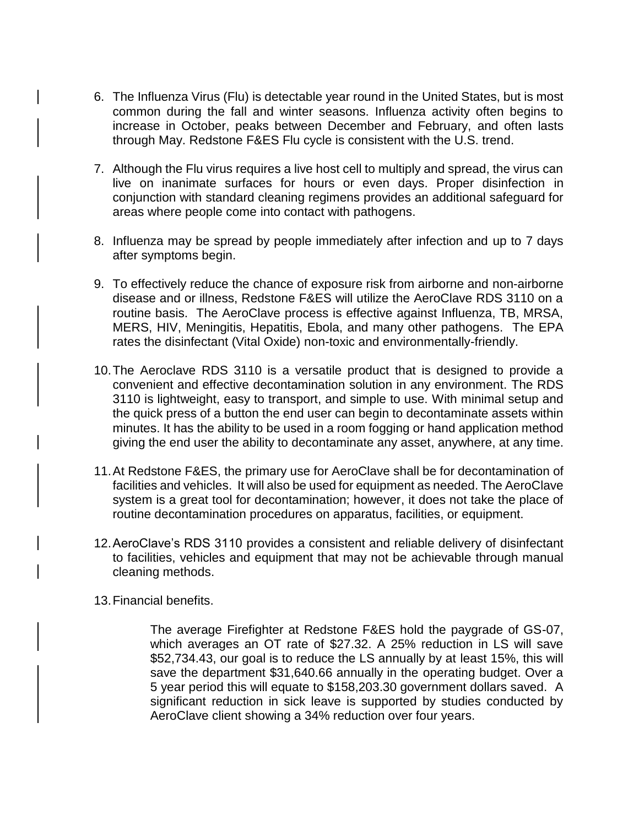- 6. The Influenza Virus (Flu) is detectable year round in the United States, but is most common during the fall and winter seasons. Influenza activity often begins to increase in October, peaks between December and February, and often lasts through May. Redstone F&ES Flu cycle is consistent with the U.S. trend.
- 7. Although the Flu virus requires a live host cell to multiply and spread, the virus can live on inanimate surfaces for hours or even days. Proper disinfection in conjunction with standard cleaning regimens provides an additional safeguard for areas where people come into contact with pathogens.
- 8. Influenza may be spread by people immediately after infection and up to 7 days after symptoms begin.
- 9. To effectively reduce the chance of exposure risk from airborne and non-airborne disease and or illness, Redstone F&ES will utilize the AeroClave RDS 3110 on a routine basis. The AeroClave process is effective against Influenza, TB, MRSA, MERS, HIV, Meningitis, Hepatitis, Ebola, and many other pathogens. The EPA rates the disinfectant (Vital Oxide) non-toxic and environmentally-friendly.
- 10.The Aeroclave RDS 3110 is a versatile product that is designed to provide a convenient and effective decontamination solution in any environment. The RDS 3110 is lightweight, easy to transport, and simple to use. With minimal setup and the quick press of a button the end user can begin to decontaminate assets within minutes. It has the ability to be used in a room fogging or hand application method giving the end user the ability to decontaminate any asset, anywhere, at any time.
- 11.At Redstone F&ES, the primary use for AeroClave shall be for decontamination of facilities and vehicles. It will also be used for equipment as needed. The AeroClave system is a great tool for decontamination; however, it does not take the place of routine decontamination procedures on apparatus, facilities, or equipment.
- 12.AeroClave's RDS 3110 provides a consistent and reliable delivery of disinfectant to facilities, vehicles and equipment that may not be achievable through manual cleaning methods.
- 13.Financial benefits.

The average Firefighter at Redstone F&ES hold the paygrade of GS-07, which averages an OT rate of \$27.32. A 25% reduction in LS will save \$52,734.43, our goal is to reduce the LS annually by at least 15%, this will save the department \$31,640.66 annually in the operating budget. Over a 5 year period this will equate to \$158,203.30 government dollars saved. A significant reduction in sick leave is supported by studies conducted by AeroClave client showing a 34% reduction over four years.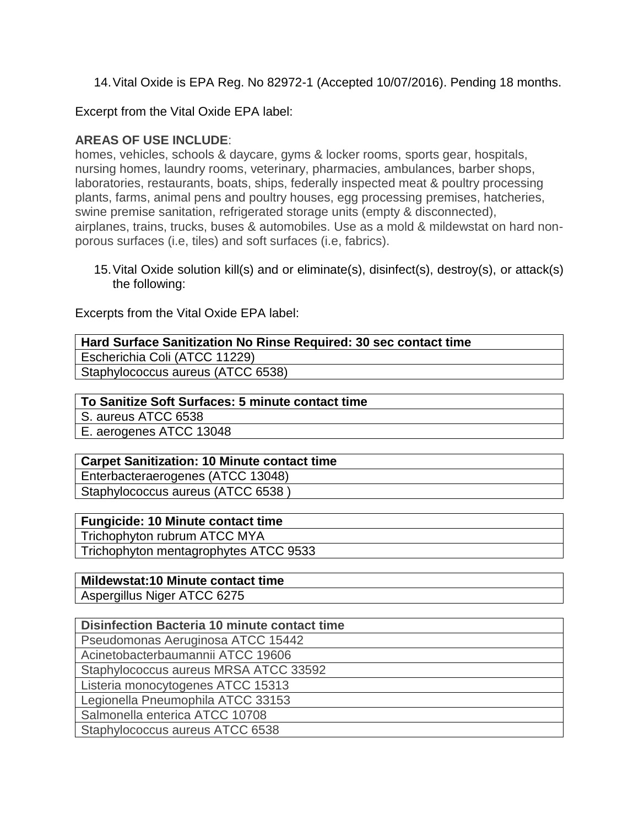14.Vital Oxide is EPA Reg. No 82972-1 (Accepted 10/07/2016). Pending 18 months.

Excerpt from the Vital Oxide EPA label:

### **AREAS OF USE INCLUDE**:

homes, vehicles, schools & daycare, gyms & locker rooms, sports gear, hospitals, nursing homes, laundry rooms, veterinary, pharmacies, ambulances, barber shops, laboratories, restaurants, boats, ships, federally inspected meat & poultry processing plants, farms, animal pens and poultry houses, egg processing premises, hatcheries, swine premise sanitation, refrigerated storage units (empty & disconnected), airplanes, trains, trucks, buses & automobiles. Use as a mold & mildewstat on hard nonporous surfaces (i.e, tiles) and soft surfaces (i.e, fabrics).

15.Vital Oxide solution kill(s) and or eliminate(s), disinfect(s), destroy(s), or attack(s) the following:

Excerpts from the Vital Oxide EPA label:

| Hard Surface Sanitization No Rinse Required: 30 sec contact time |
|------------------------------------------------------------------|
| Escherichia Coli (ATCC 11229)                                    |
| Staphylococcus aureus (ATCC 6538)                                |

### **To Sanitize Soft Surfaces: 5 minute contact time**

S. aureus ATCC 6538

E. aerogenes ATCC 13048

# **Carpet Sanitization: 10 Minute contact time**

Enterbacteraerogenes (ATCC 13048) Staphylococcus aureus (ATCC 6538 )

### **Fungicide: 10 Minute contact time**

Trichophyton rubrum ATCC MYA

Trichophyton mentagrophytes ATCC 9533

## **Mildewstat:10 Minute contact time**

Aspergillus Niger ATCC 6275

| Disinfection Bacteria 10 minute contact time |
|----------------------------------------------|
| Pseudomonas Aeruginosa ATCC 15442            |
| Acinetobacterbaumannii ATCC 19606            |
| Staphylococcus aureus MRSA ATCC 33592        |
| Listeria monocytogenes ATCC 15313            |
| Legionella Pneumophila ATCC 33153            |
| Salmonella enterica ATCC 10708               |
| Staphylococcus aureus ATCC 6538              |